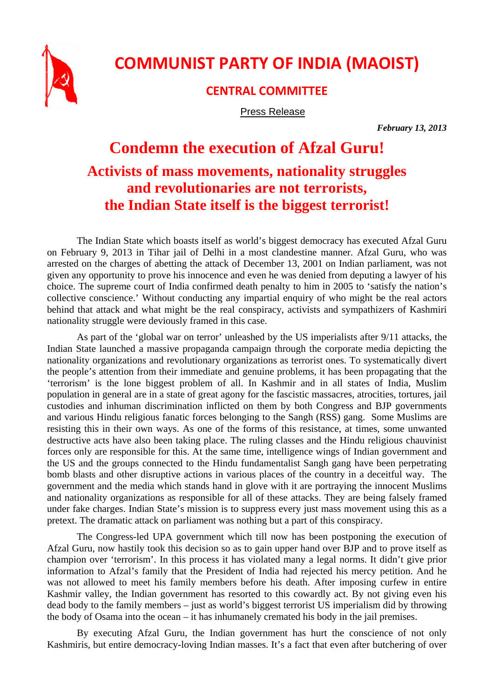

## **COMMUNIST PARTY OF INDIA (MAOIST)**

**CENTRAL COMMITTEE**

Press Release

*February 13, 2013* 

## **Condemn the execution of Afzal Guru! Activists of mass movements, nationality struggles and revolutionaries are not terrorists, the Indian State itself is the biggest terrorist!**

The Indian State which boasts itself as world's biggest democracy has executed Afzal Guru on February 9, 2013 in Tihar jail of Delhi in a most clandestine manner. Afzal Guru, who was arrested on the charges of abetting the attack of December 13, 2001 on Indian parliament, was not given any opportunity to prove his innocence and even he was denied from deputing a lawyer of his choice. The supreme court of India confirmed death penalty to him in 2005 to 'satisfy the nation's collective conscience.' Without conducting any impartial enquiry of who might be the real actors behind that attack and what might be the real conspiracy, activists and sympathizers of Kashmiri nationality struggle were deviously framed in this case.

As part of the 'global war on terror' unleashed by the US imperialists after 9/11 attacks, the Indian State launched a massive propaganda campaign through the corporate media depicting the nationality organizations and revolutionary organizations as terrorist ones. To systematically divert the people's attention from their immediate and genuine problems, it has been propagating that the 'terrorism' is the lone biggest problem of all. In Kashmir and in all states of India, Muslim population in general are in a state of great agony for the fascistic massacres, atrocities, tortures, jail custodies and inhuman discrimination inflicted on them by both Congress and BJP governments and various Hindu religious fanatic forces belonging to the Sangh (RSS) gang. Some Muslims are resisting this in their own ways. As one of the forms of this resistance, at times, some unwanted destructive acts have also been taking place. The ruling classes and the Hindu religious chauvinist forces only are responsible for this. At the same time, intelligence wings of Indian government and the US and the groups connected to the Hindu fundamentalist Sangh gang have been perpetrating bomb blasts and other disruptive actions in various places of the country in a deceitful way. The government and the media which stands hand in glove with it are portraying the innocent Muslims and nationality organizations as responsible for all of these attacks. They are being falsely framed under fake charges. Indian State's mission is to suppress every just mass movement using this as a pretext. The dramatic attack on parliament was nothing but a part of this conspiracy.

The Congress-led UPA government which till now has been postponing the execution of Afzal Guru, now hastily took this decision so as to gain upper hand over BJP and to prove itself as champion over 'terrorism'. In this process it has violated many a legal norms. It didn't give prior information to Afzal's family that the President of India had rejected his mercy petition. And he was not allowed to meet his family members before his death. After imposing curfew in entire Kashmir valley, the Indian government has resorted to this cowardly act. By not giving even his dead body to the family members – just as world's biggest terrorist US imperialism did by throwing the body of Osama into the ocean – it has inhumanely cremated his body in the jail premises.

By executing Afzal Guru, the Indian government has hurt the conscience of not only Kashmiris, but entire democracy-loving Indian masses. It's a fact that even after butchering of over